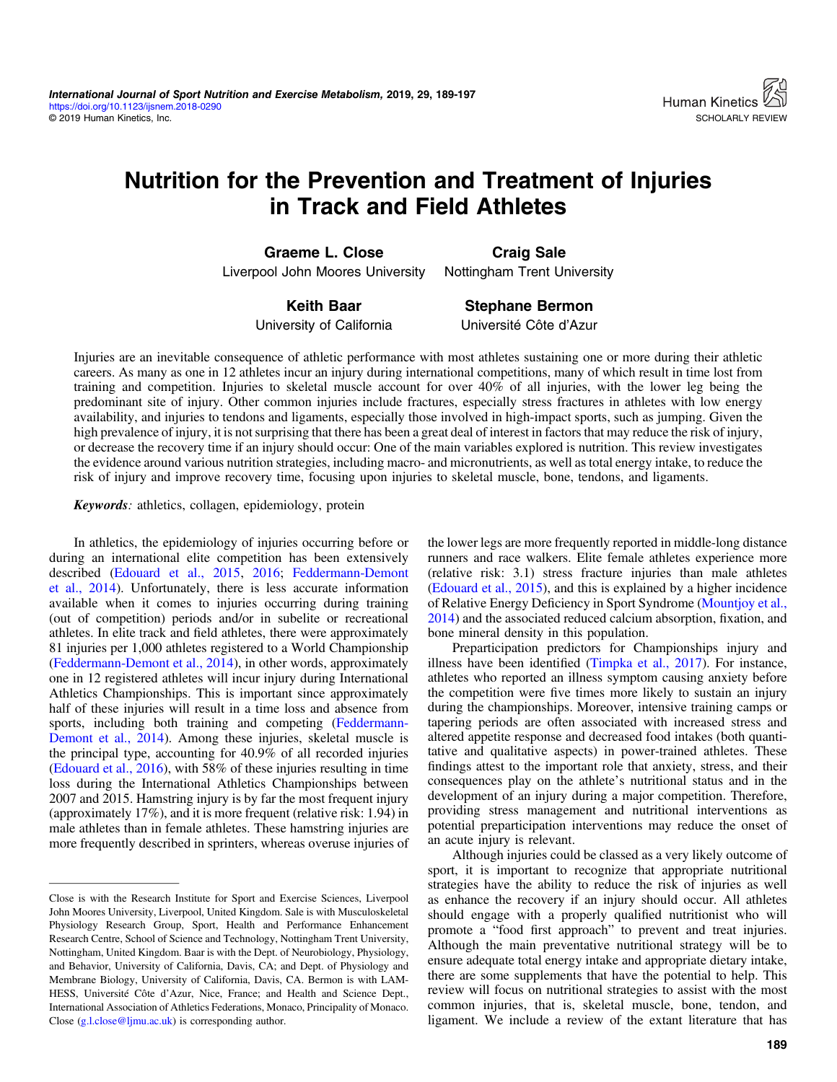# Nutrition for the Prevention and Treatment of Injuries in Track and Field Athletes

Graeme L. Close Liverpool John Moores University

Craig Sale Nottingham Trent University

Keith Baar University of California

Stephane Bermon Université Côte d'Azur

Injuries are an inevitable consequence of athletic performance with most athletes sustaining one or more during their athletic careers. As many as one in 12 athletes incur an injury during international competitions, many of which result in time lost from training and competition. Injuries to skeletal muscle account for over 40% of all injuries, with the lower leg being the predominant site of injury. Other common injuries include fractures, especially stress fractures in athletes with low energy availability, and injuries to tendons and ligaments, especially those involved in high-impact sports, such as jumping. Given the high prevalence of injury, it is not surprising that there has been a great deal of interest in factors that may reduce the risk of injury, or decrease the recovery time if an injury should occur: One of the main variables explored is nutrition. This review investigates the evidence around various nutrition strategies, including macro- and micronutrients, as well as total energy intake, to reduce the risk of injury and improve recovery time, focusing upon injuries to skeletal muscle, bone, tendons, and ligaments.

Keywords: athletics, collagen, epidemiology, protein

In athletics, the epidemiology of injuries occurring before or during an international elite competition has been extensively described ([Edouard et al., 2015,](#page-6-0) [2016;](#page-6-0) [Feddermann-Demont](#page-6-0) [et al., 2014](#page-6-0)). Unfortunately, there is less accurate information available when it comes to injuries occurring during training (out of competition) periods and/or in subelite or recreational athletes. In elite track and field athletes, there were approximately 81 injuries per 1,000 athletes registered to a World Championship [\(Feddermann-Demont et al., 2014\)](#page-6-0), in other words, approximately one in 12 registered athletes will incur injury during International Athletics Championships. This is important since approximately half of these injuries will result in a time loss and absence from sports, including both training and competing [\(Feddermann-](#page-6-0)[Demont et al., 2014](#page-6-0)). Among these injuries, skeletal muscle is the principal type, accounting for 40.9% of all recorded injuries [\(Edouard et al., 2016\)](#page-6-0), with 58% of these injuries resulting in time loss during the International Athletics Championships between 2007 and 2015. Hamstring injury is by far the most frequent injury (approximately 17%), and it is more frequent (relative risk: 1.94) in male athletes than in female athletes. These hamstring injuries are more frequently described in sprinters, whereas overuse injuries of

Close is with the Research Institute for Sport and Exercise Sciences, Liverpool John Moores University, Liverpool, United Kingdom. Sale is with Musculoskeletal Physiology Research Group, Sport, Health and Performance Enhancement Research Centre, School of Science and Technology, Nottingham Trent University, Nottingham, United Kingdom. Baar is with the Dept. of Neurobiology, Physiology, and Behavior, University of California, Davis, CA; and Dept. of Physiology and Membrane Biology, University of California, Davis, CA. Bermon is with LAM-HESS, Université Côte d'Azur, Nice, France; and Health and Science Dept., International Association of Athletics Federations, Monaco, Principality of Monaco. Close [\(g.l.close@ljmu.ac.uk](mailto:g.l.close@ljmu.ac.uk)) is corresponding author.

the lower legs are more frequently reported in middle-long distance runners and race walkers. Elite female athletes experience more (relative risk: 3.1) stress fracture injuries than male athletes [\(Edouard et al., 2015](#page-6-0)), and this is explained by a higher incidence of Relative Energy Deficiency in Sport Syndrome [\(Mountjoy et al.,](#page-7-0) [2014](#page-7-0)) and the associated reduced calcium absorption, fixation, and bone mineral density in this population.

Preparticipation predictors for Championships injury and illness have been identified ([Timpka et al., 2017\)](#page-8-0). For instance, athletes who reported an illness symptom causing anxiety before the competition were five times more likely to sustain an injury during the championships. Moreover, intensive training camps or tapering periods are often associated with increased stress and altered appetite response and decreased food intakes (both quantitative and qualitative aspects) in power-trained athletes. These findings attest to the important role that anxiety, stress, and their consequences play on the athlete's nutritional status and in the development of an injury during a major competition. Therefore, providing stress management and nutritional interventions as potential preparticipation interventions may reduce the onset of an acute injury is relevant.

Although injuries could be classed as a very likely outcome of sport, it is important to recognize that appropriate nutritional strategies have the ability to reduce the risk of injuries as well as enhance the recovery if an injury should occur. All athletes should engage with a properly qualified nutritionist who will promote a "food first approach" to prevent and treat injuries. Although the main preventative nutritional strategy will be to ensure adequate total energy intake and appropriate dietary intake, there are some supplements that have the potential to help. This review will focus on nutritional strategies to assist with the most common injuries, that is, skeletal muscle, bone, tendon, and ligament. We include a review of the extant literature that has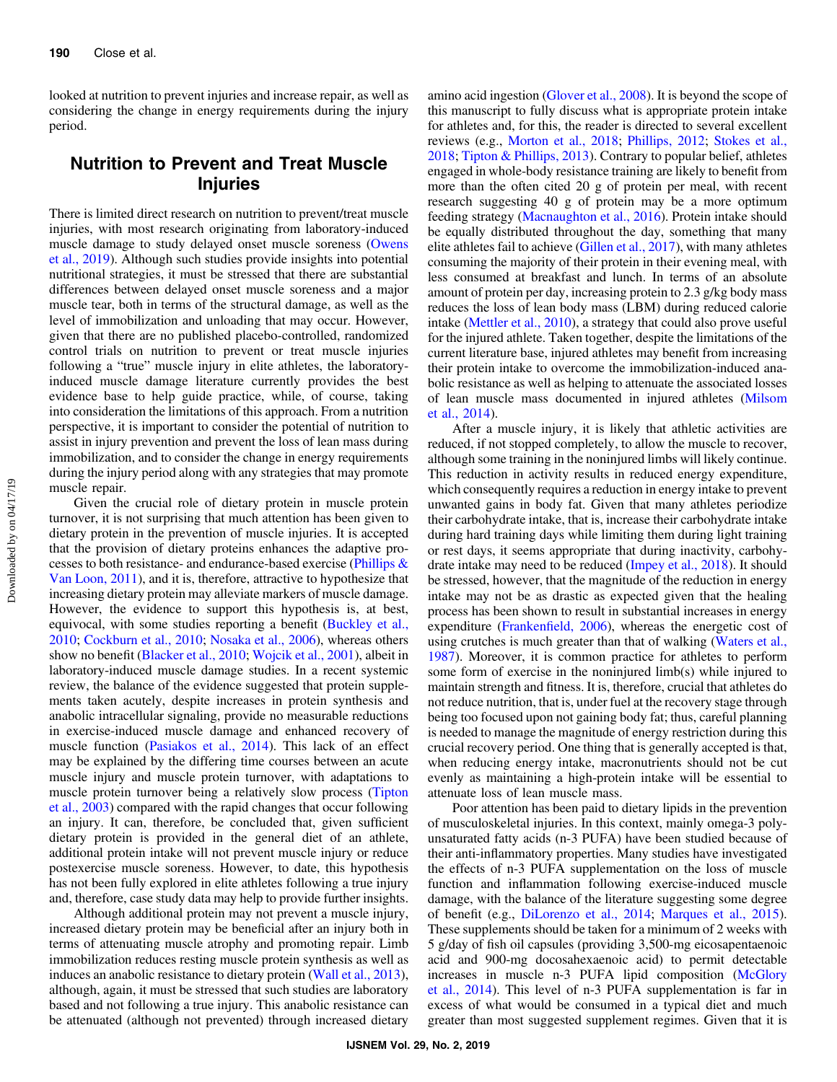looked at nutrition to prevent injuries and increase repair, as well as considering the change in energy requirements during the injury period.

## Nutrition to Prevent and Treat Muscle Injuries

There is limited direct research on nutrition to prevent/treat muscle injuries, with most research originating from laboratory-induced muscle damage to study delayed onset muscle soreness [\(Owens](#page-7-0) [et al., 2019](#page-7-0)). Although such studies provide insights into potential nutritional strategies, it must be stressed that there are substantial differences between delayed onset muscle soreness and a major muscle tear, both in terms of the structural damage, as well as the level of immobilization and unloading that may occur. However, given that there are no published placebo-controlled, randomized control trials on nutrition to prevent or treat muscle injuries following a "true" muscle injury in elite athletes, the laboratoryinduced muscle damage literature currently provides the best evidence base to help guide practice, while, of course, taking into consideration the limitations of this approach. From a nutrition perspective, it is important to consider the potential of nutrition to assist in injury prevention and prevent the loss of lean mass during immobilization, and to consider the change in energy requirements during the injury period along with any strategies that may promote muscle repair.

Given the crucial role of dietary protein in muscle protein turnover, it is not surprising that much attention has been given to dietary protein in the prevention of muscle injuries. It is accepted that the provision of dietary proteins enhances the adaptive processes to both resistance- and endurance-based exercise [\(Phillips &](#page-8-0) [Van Loon, 2011\)](#page-8-0), and it is, therefore, attractive to hypothesize that increasing dietary protein may alleviate markers of muscle damage. However, the evidence to support this hypothesis is, at best, equivocal, with some studies reporting a benefit [\(Buckley et al.,](#page-5-0) [2010](#page-5-0); [Cockburn et al., 2010](#page-6-0); [Nosaka et al., 2006](#page-7-0)), whereas others show no benefit ([Blacker et al., 2010;](#page-5-0) [Wojcik et al., 2001](#page-8-0)), albeit in laboratory-induced muscle damage studies. In a recent systemic review, the balance of the evidence suggested that protein supplements taken acutely, despite increases in protein synthesis and anabolic intracellular signaling, provide no measurable reductions in exercise-induced muscle damage and enhanced recovery of muscle function [\(Pasiakos et al., 2014\)](#page-7-0). This lack of an effect may be explained by the differing time courses between an acute muscle injury and muscle protein turnover, with adaptations to muscle protein turnover being a relatively slow process ([Tipton](#page-8-0) [et al., 2003\)](#page-8-0) compared with the rapid changes that occur following an injury. It can, therefore, be concluded that, given sufficient dietary protein is provided in the general diet of an athlete, additional protein intake will not prevent muscle injury or reduce postexercise muscle soreness. However, to date, this hypothesis has not been fully explored in elite athletes following a true injury and, therefore, case study data may help to provide further insights.

Although additional protein may not prevent a muscle injury, increased dietary protein may be beneficial after an injury both in terms of attenuating muscle atrophy and promoting repair. Limb immobilization reduces resting muscle protein synthesis as well as induces an anabolic resistance to dietary protein ([Wall et al., 2013](#page-8-0)), although, again, it must be stressed that such studies are laboratory based and not following a true injury. This anabolic resistance can be attenuated (although not prevented) through increased dietary

amino acid ingestion [\(Glover et al., 2008](#page-6-0)). It is beyond the scope of this manuscript to fully discuss what is appropriate protein intake for athletes and, for this, the reader is directed to several excellent reviews (e.g., [Morton et al., 2018;](#page-7-0) [Phillips, 2012;](#page-8-0) [Stokes et al.,](#page-8-0) [2018](#page-8-0); [Tipton & Phillips, 2013](#page-8-0)). Contrary to popular belief, athletes engaged in whole-body resistance training are likely to benefit from more than the often cited 20 g of protein per meal, with recent research suggesting 40 g of protein may be a more optimum feeding strategy [\(Macnaughton et al., 2016\)](#page-7-0). Protein intake should be equally distributed throughout the day, something that many elite athletes fail to achieve [\(Gillen et al., 2017](#page-6-0)), with many athletes consuming the majority of their protein in their evening meal, with less consumed at breakfast and lunch. In terms of an absolute amount of protein per day, increasing protein to 2.3 g/kg body mass reduces the loss of lean body mass (LBM) during reduced calorie intake ([Mettler et al., 2010](#page-7-0)), a strategy that could also prove useful for the injured athlete. Taken together, despite the limitations of the current literature base, injured athletes may benefit from increasing their protein intake to overcome the immobilization-induced anabolic resistance as well as helping to attenuate the associated losses of lean muscle mass documented in injured athletes [\(Milsom](#page-7-0) [et al., 2014\)](#page-7-0).

After a muscle injury, it is likely that athletic activities are reduced, if not stopped completely, to allow the muscle to recover, although some training in the noninjured limbs will likely continue. This reduction in activity results in reduced energy expenditure, which consequently requires a reduction in energy intake to prevent unwanted gains in body fat. Given that many athletes periodize their carbohydrate intake, that is, increase their carbohydrate intake during hard training days while limiting them during light training or rest days, it seems appropriate that during inactivity, carbohydrate intake may need to be reduced [\(Impey et al., 2018\)](#page-6-0). It should be stressed, however, that the magnitude of the reduction in energy intake may not be as drastic as expected given that the healing process has been shown to result in substantial increases in energy expenditure (Frankenfi[eld, 2006](#page-6-0)), whereas the energetic cost of using crutches is much greater than that of walking [\(Waters et al.,](#page-8-0) [1987](#page-8-0)). Moreover, it is common practice for athletes to perform some form of exercise in the noninjured limb(s) while injured to maintain strength and fitness. It is, therefore, crucial that athletes do not reduce nutrition, that is, under fuel at the recovery stage through being too focused upon not gaining body fat; thus, careful planning is needed to manage the magnitude of energy restriction during this crucial recovery period. One thing that is generally accepted is that, when reducing energy intake, macronutrients should not be cut evenly as maintaining a high-protein intake will be essential to attenuate loss of lean muscle mass.

Poor attention has been paid to dietary lipids in the prevention of musculoskeletal injuries. In this context, mainly omega-3 polyunsaturated fatty acids (n-3 PUFA) have been studied because of their anti-inflammatory properties. Many studies have investigated the effects of n-3 PUFA supplementation on the loss of muscle function and inflammation following exercise-induced muscle damage, with the balance of the literature suggesting some degree of benefit (e.g., [DiLorenzo et al., 2014](#page-6-0); [Marques et al., 2015](#page-7-0)). These supplements should be taken for a minimum of 2 weeks with 5 g/day of fish oil capsules (providing 3,500-mg eicosapentaenoic acid and 900-mg docosahexaenoic acid) to permit detectable increases in muscle n-3 PUFA lipid composition ([McGlory](#page-7-0) [et al., 2014](#page-7-0)). This level of n-3 PUFA supplementation is far in excess of what would be consumed in a typical diet and much greater than most suggested supplement regimes. Given that it is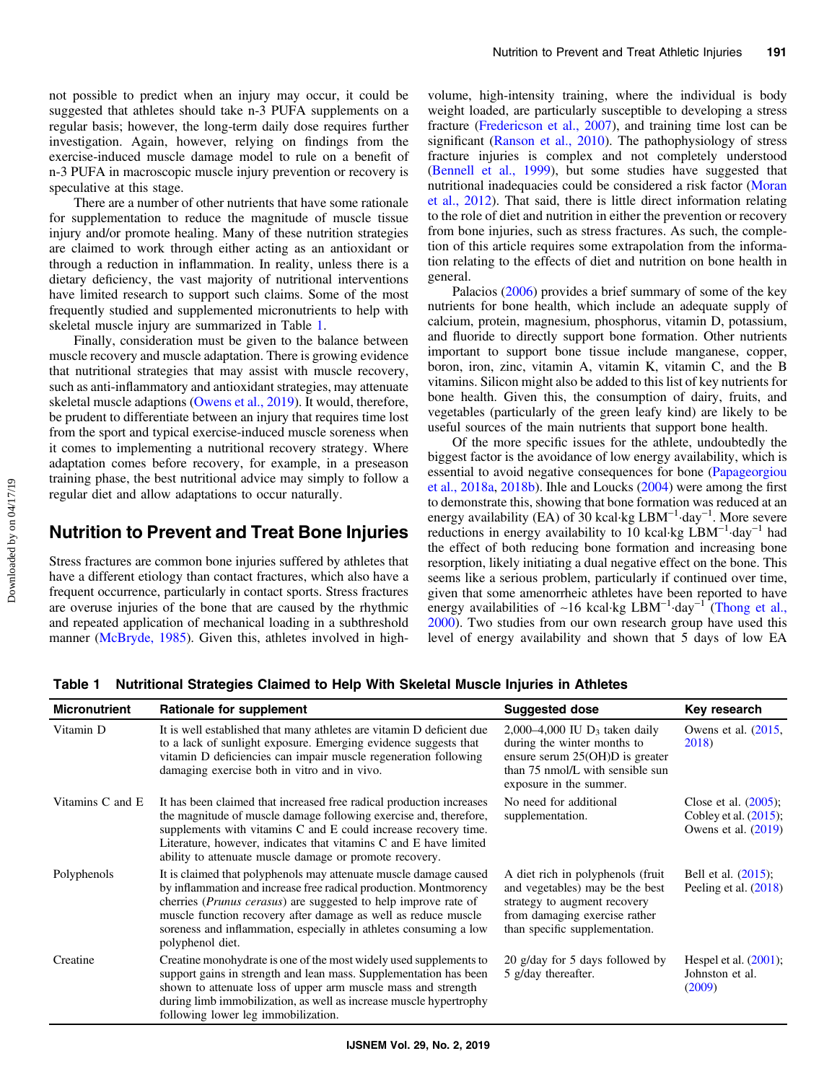not possible to predict when an injury may occur, it could be suggested that athletes should take n-3 PUFA supplements on a regular basis; however, the long-term daily dose requires further investigation. Again, however, relying on findings from the exercise-induced muscle damage model to rule on a benefit of n-3 PUFA in macroscopic muscle injury prevention or recovery is speculative at this stage.

There are a number of other nutrients that have some rationale for supplementation to reduce the magnitude of muscle tissue injury and/or promote healing. Many of these nutrition strategies are claimed to work through either acting as an antioxidant or through a reduction in inflammation. In reality, unless there is a dietary deficiency, the vast majority of nutritional interventions have limited research to support such claims. Some of the most frequently studied and supplemented micronutrients to help with skeletal muscle injury are summarized in Table 1.

Finally, consideration must be given to the balance between muscle recovery and muscle adaptation. There is growing evidence that nutritional strategies that may assist with muscle recovery, such as anti-inflammatory and antioxidant strategies, may attenuate skeletal muscle adaptions ([Owens et al., 2019](#page-7-0)). It would, therefore, be prudent to differentiate between an injury that requires time lost from the sport and typical exercise-induced muscle soreness when it comes to implementing a nutritional recovery strategy. Where adaptation comes before recovery, for example, in a preseason training phase, the best nutritional advice may simply to follow a regular diet and allow adaptations to occur naturally.

## Nutrition to Prevent and Treat Bone Injuries

Stress fractures are common bone injuries suffered by athletes that have a different etiology than contact fractures, which also have a frequent occurrence, particularly in contact sports. Stress fractures are overuse injuries of the bone that are caused by the rhythmic and repeated application of mechanical loading in a subthreshold manner ([McBryde, 1985](#page-7-0)). Given this, athletes involved in highvolume, high-intensity training, where the individual is body weight loaded, are particularly susceptible to developing a stress fracture ([Fredericson et al., 2007\)](#page-6-0), and training time lost can be significant [\(Ranson et al., 2010](#page-8-0)). The pathophysiology of stress fracture injuries is complex and not completely understood [\(Bennell et al., 1999\)](#page-5-0), but some studies have suggested that nutritional inadequacies could be considered a risk factor ([Moran](#page-7-0) [et al., 2012\)](#page-7-0). That said, there is little direct information relating to the role of diet and nutrition in either the prevention or recovery from bone injuries, such as stress fractures. As such, the completion of this article requires some extrapolation from the information relating to the effects of diet and nutrition on bone health in general.

Palacios ([2006\)](#page-7-0) provides a brief summary of some of the key nutrients for bone health, which include an adequate supply of calcium, protein, magnesium, phosphorus, vitamin D, potassium, and fluoride to directly support bone formation. Other nutrients important to support bone tissue include manganese, copper, boron, iron, zinc, vitamin A, vitamin K, vitamin C, and the B vitamins. Silicon might also be added to this list of key nutrients for bone health. Given this, the consumption of dairy, fruits, and vegetables (particularly of the green leafy kind) are likely to be useful sources of the main nutrients that support bone health.

Of the more specific issues for the athlete, undoubtedly the biggest factor is the avoidance of low energy availability, which is essential to avoid negative consequences for bone [\(Papageorgiou](#page-7-0) [et al., 2018a](#page-7-0), [2018b](#page-7-0)). Ihle and Loucks [\(2004](#page-6-0)) were among the first to demonstrate this, showing that bone formation was reduced at an energy availability (EA) of 30 kcal⋅kg LBM<sup>-1</sup>⋅day<sup>-1</sup>. More severe reductions in energy availability to 10 kcal·kg  $\text{LBM}^{-1}$ -day<sup>-1</sup> had the effect of both reducing bone formation and increasing bone resorption, likely initiating a dual negative effect on the bone. This seems like a serious problem, particularly if continued over time, given that some amenorrheic athletes have been reported to have energy availabilities of ∼16 kcal·kg LBM<sup>-1</sup>·day<sup>-1</sup> [\(Thong et al.,](#page-8-0) [2000](#page-8-0)). Two studies from our own research group have used this level of energy availability and shown that 5 days of low EA

Table 1 Nutritional Strategies Claimed to Help With Skeletal Muscle Injuries in Athletes

| <b>Micronutrient</b> | Rationale for supplement                                                                                                                                                                                                                                                                                                                                                    | <b>Suggested dose</b>                                                                                                                                                    | Key research                                                                 |
|----------------------|-----------------------------------------------------------------------------------------------------------------------------------------------------------------------------------------------------------------------------------------------------------------------------------------------------------------------------------------------------------------------------|--------------------------------------------------------------------------------------------------------------------------------------------------------------------------|------------------------------------------------------------------------------|
| Vitamin D            | It is well established that many athletes are vitamin D deficient due<br>to a lack of sunlight exposure. Emerging evidence suggests that<br>vitamin D deficiencies can impair muscle regeneration following<br>damaging exercise both in vitro and in vivo.                                                                                                                 | 2,000–4,000 IU $D_3$ taken daily<br>during the winter months to<br>ensure serum $25(OH)D$ is greater<br>than 75 nmol/L with sensible sun<br>exposure in the summer.      | Owens et al. $(2015,$<br>2018)                                               |
| Vitamins C and E     | It has been claimed that increased free radical production increases<br>the magnitude of muscle damage following exercise and, therefore,<br>supplements with vitamins C and E could increase recovery time.<br>Literature, however, indicates that vitamins C and E have limited<br>ability to attenuate muscle damage or promote recovery.                                | No need for additional<br>supplementation.                                                                                                                               | Close et al. $(2005)$ ;<br>Cobley et al. $(2015)$ ;<br>Owens et al. $(2019)$ |
| Polyphenols          | It is claimed that polyphenols may attenuate muscle damage caused<br>by inflammation and increase free radical production. Montmorency<br>cherries <i>(Prunus cerasus)</i> are suggested to help improve rate of<br>muscle function recovery after damage as well as reduce muscle<br>soreness and inflammation, especially in athletes consuming a low<br>polyphenol diet. | A diet rich in polyphenols (fruit)<br>and vegetables) may be the best<br>strategy to augment recovery<br>from damaging exercise rather<br>than specific supplementation. | Bell et al. (2015);<br>Peeling et al. $(2018)$                               |
| Creatine             | Creatine monohydrate is one of the most widely used supplements to<br>support gains in strength and lean mass. Supplementation has been<br>shown to attenuate loss of upper arm muscle mass and strength<br>during limb immobilization, as well as increase muscle hypertrophy<br>following lower leg immobilization.                                                       | 20 g/day for 5 days followed by<br>5 g/day thereafter.                                                                                                                   | Hespel et al. $(2001)$ ;<br>Johnston et al.<br>(2009)                        |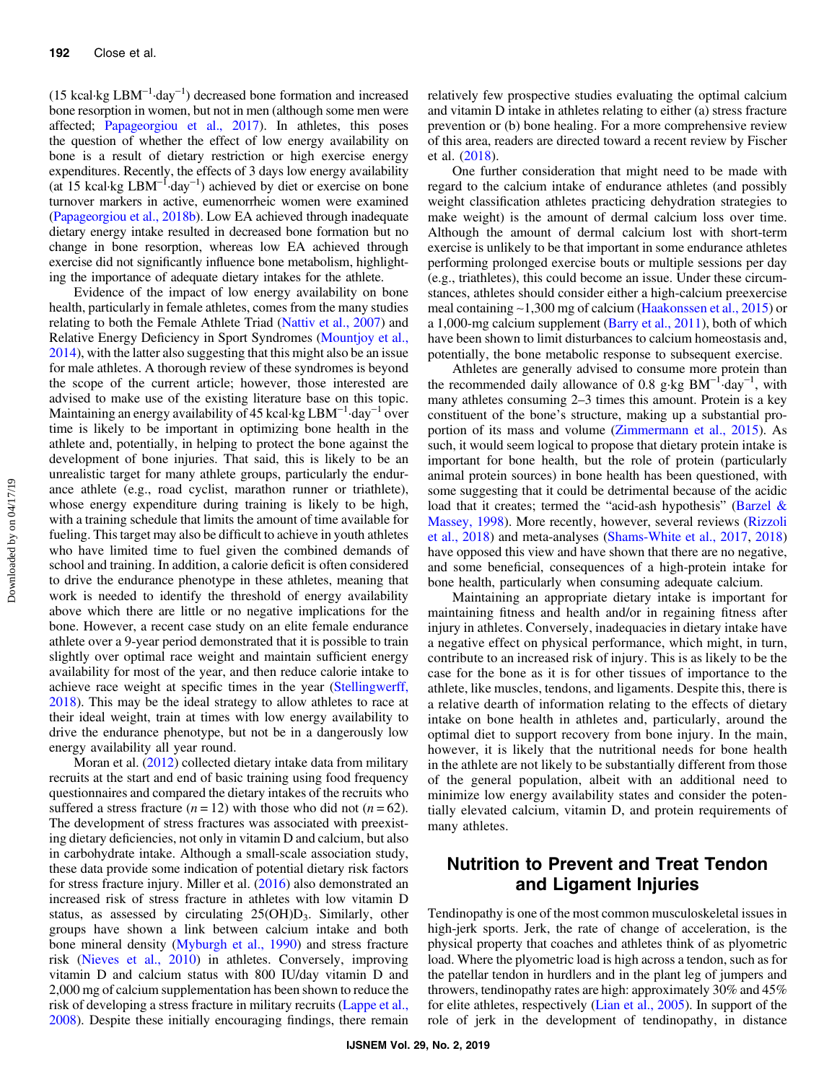(15 kcal·kg  $LBM^{-1}$ ·day<sup>-1</sup>) decreased bone formation and increased bone resorption in women, but not in men (although some men were affected; [Papageorgiou et al., 2017\)](#page-7-0). In athletes, this poses the question of whether the effect of low energy availability on bone is a result of dietary restriction or high exercise energy expenditures. Recently, the effects of 3 days low energy availability (at 15 kcal·kg LBM−<sup>1</sup> ·day−<sup>1</sup> ) achieved by diet or exercise on bone turnover markers in active, eumenorrheic women were examined [\(Papageorgiou et al., 2018b](#page-7-0)). Low EA achieved through inadequate dietary energy intake resulted in decreased bone formation but no change in bone resorption, whereas low EA achieved through exercise did not significantly influence bone metabolism, highlighting the importance of adequate dietary intakes for the athlete.

Evidence of the impact of low energy availability on bone health, particularly in female athletes, comes from the many studies relating to both the Female Athlete Triad [\(Nattiv et al., 2007\)](#page-7-0) and Relative Energy Deficiency in Sport Syndromes ([Mountjoy et al.,](#page-7-0) [2014](#page-7-0)), with the latter also suggesting that this might also be an issue for male athletes. A thorough review of these syndromes is beyond the scope of the current article; however, those interested are advised to make use of the existing literature base on this topic. Maintaining an energy availability of 45 kcal·kg LBM−<sup>1</sup> ·day−<sup>1</sup> over time is likely to be important in optimizing bone health in the athlete and, potentially, in helping to protect the bone against the development of bone injuries. That said, this is likely to be an unrealistic target for many athlete groups, particularly the endurance athlete (e.g., road cyclist, marathon runner or triathlete), whose energy expenditure during training is likely to be high, with a training schedule that limits the amount of time available for fueling. This target may also be difficult to achieve in youth athletes who have limited time to fuel given the combined demands of school and training. In addition, a calorie deficit is often considered to drive the endurance phenotype in these athletes, meaning that work is needed to identify the threshold of energy availability above which there are little or no negative implications for the bone. However, a recent case study on an elite female endurance athlete over a 9-year period demonstrated that it is possible to train slightly over optimal race weight and maintain sufficient energy availability for most of the year, and then reduce calorie intake to achieve race weight at specific times in the year [\(Stellingwerff,](#page-8-0) [2018](#page-8-0)). This may be the ideal strategy to allow athletes to race at their ideal weight, train at times with low energy availability to drive the endurance phenotype, but not be in a dangerously low energy availability all year round.

Moran et al. [\(2012\)](#page-7-0) collected dietary intake data from military recruits at the start and end of basic training using food frequency questionnaires and compared the dietary intakes of the recruits who suffered a stress fracture  $(n = 12)$  with those who did not  $(n = 62)$ . The development of stress fractures was associated with preexisting dietary deficiencies, not only in vitamin D and calcium, but also in carbohydrate intake. Although a small-scale association study, these data provide some indication of potential dietary risk factors for stress fracture injury. Miller et al. [\(2016](#page-7-0)) also demonstrated an increased risk of stress fracture in athletes with low vitamin D status, as assessed by circulating  $25(OH)D_3$ . Similarly, other groups have shown a link between calcium intake and both bone mineral density [\(Myburgh et al., 1990](#page-7-0)) and stress fracture risk ([Nieves et al., 2010](#page-7-0)) in athletes. Conversely, improving vitamin D and calcium status with 800 IU/day vitamin D and 2,000 mg of calcium supplementation has been shown to reduce the risk of developing a stress fracture in military recruits ([Lappe et al.,](#page-6-0) [2008](#page-6-0)). Despite these initially encouraging findings, there remain

relatively few prospective studies evaluating the optimal calcium and vitamin D intake in athletes relating to either (a) stress fracture prevention or (b) bone healing. For a more comprehensive review of this area, readers are directed toward a recent review by Fischer et al. ([2018\)](#page-6-0).

One further consideration that might need to be made with regard to the calcium intake of endurance athletes (and possibly weight classification athletes practicing dehydration strategies to make weight) is the amount of dermal calcium loss over time. Although the amount of dermal calcium lost with short-term exercise is unlikely to be that important in some endurance athletes performing prolonged exercise bouts or multiple sessions per day (e.g., triathletes), this could become an issue. Under these circumstances, athletes should consider either a high-calcium preexercise meal containing ∼1,300 mg of calcium [\(Haakonssen et al., 2015\)](#page-6-0) or a 1,000-mg calcium supplement ([Barry et al., 2011](#page-5-0)), both of which have been shown to limit disturbances to calcium homeostasis and, potentially, the bone metabolic response to subsequent exercise.

Athletes are generally advised to consume more protein than the recommended daily allowance of 0.8 g⋅kg  $BM^{-1}$  day<sup>-1</sup>, with many athletes consuming 2–3 times this amount. Protein is a key constituent of the bone's structure, making up a substantial proportion of its mass and volume [\(Zimmermann et al., 2015](#page-8-0)). As such, it would seem logical to propose that dietary protein intake is important for bone health, but the role of protein (particularly animal protein sources) in bone health has been questioned, with some suggesting that it could be detrimental because of the acidic load that it creates; termed the "acid-ash hypothesis" ([Barzel &](#page-5-0) [Massey, 1998\)](#page-5-0). More recently, however, several reviews [\(Rizzoli](#page-8-0) [et al., 2018](#page-8-0)) and meta-analyses ([Shams-White et al., 2017](#page-8-0), [2018\)](#page-8-0) have opposed this view and have shown that there are no negative, and some beneficial, consequences of a high-protein intake for bone health, particularly when consuming adequate calcium.

Maintaining an appropriate dietary intake is important for maintaining fitness and health and/or in regaining fitness after injury in athletes. Conversely, inadequacies in dietary intake have a negative effect on physical performance, which might, in turn, contribute to an increased risk of injury. This is as likely to be the case for the bone as it is for other tissues of importance to the athlete, like muscles, tendons, and ligaments. Despite this, there is a relative dearth of information relating to the effects of dietary intake on bone health in athletes and, particularly, around the optimal diet to support recovery from bone injury. In the main, however, it is likely that the nutritional needs for bone health in the athlete are not likely to be substantially different from those of the general population, albeit with an additional need to minimize low energy availability states and consider the potentially elevated calcium, vitamin D, and protein requirements of many athletes.

# Nutrition to Prevent and Treat Tendon and Ligament Injuries

Tendinopathy is one of the most common musculoskeletal issues in high-jerk sports. Jerk, the rate of change of acceleration, is the physical property that coaches and athletes think of as plyometric load. Where the plyometric load is high across a tendon, such as for the patellar tendon in hurdlers and in the plant leg of jumpers and throwers, tendinopathy rates are high: approximately 30% and 45% for elite athletes, respectively ([Lian et al., 2005](#page-6-0)). In support of the role of jerk in the development of tendinopathy, in distance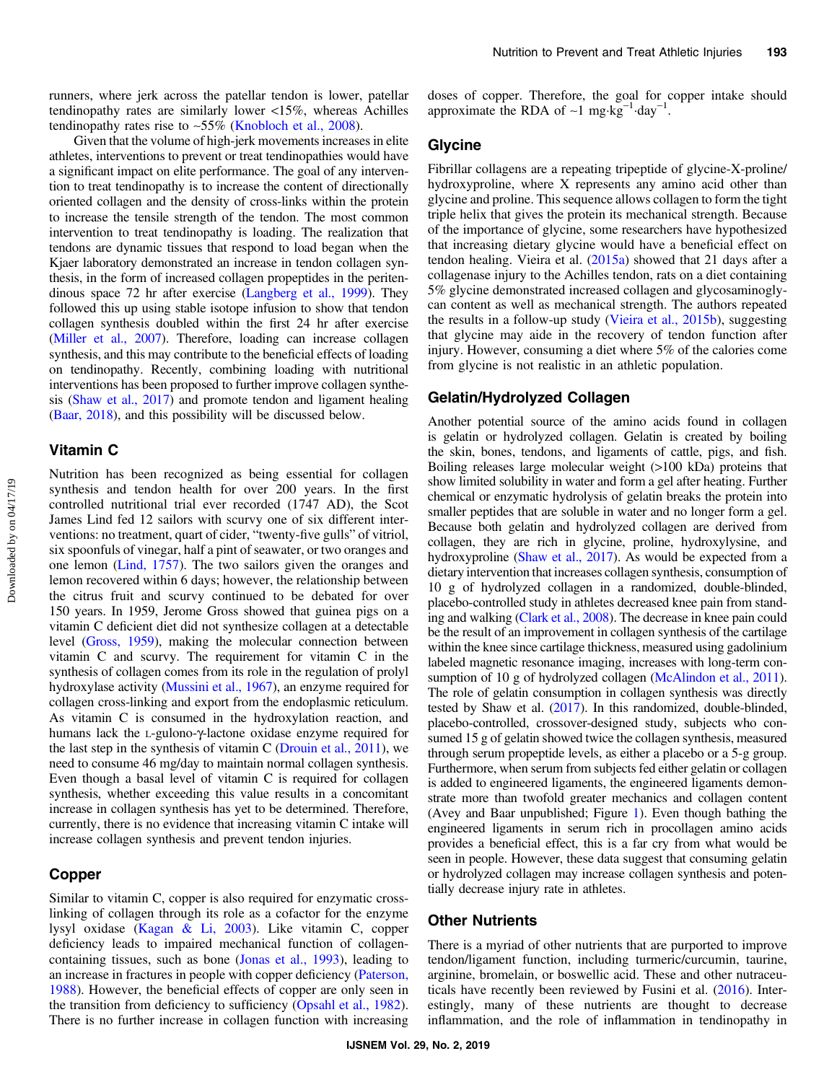runners, where jerk across the patellar tendon is lower, patellar tendinopathy rates are similarly lower <15%, whereas Achilles tendinopathy rates rise to ∼55% ([Knobloch et al., 2008](#page-6-0)).

Given that the volume of high-jerk movements increases in elite athletes, interventions to prevent or treat tendinopathies would have a significant impact on elite performance. The goal of any intervention to treat tendinopathy is to increase the content of directionally oriented collagen and the density of cross-links within the protein to increase the tensile strength of the tendon. The most common intervention to treat tendinopathy is loading. The realization that tendons are dynamic tissues that respond to load began when the Kjaer laboratory demonstrated an increase in tendon collagen synthesis, in the form of increased collagen propeptides in the peritendinous space 72 hr after exercise [\(Langberg et al., 1999\)](#page-6-0). They followed this up using stable isotope infusion to show that tendon collagen synthesis doubled within the first 24 hr after exercise [\(Miller et al., 2007](#page-7-0)). Therefore, loading can increase collagen synthesis, and this may contribute to the beneficial effects of loading on tendinopathy. Recently, combining loading with nutritional interventions has been proposed to further improve collagen synthesis [\(Shaw et al., 2017](#page-8-0)) and promote tendon and ligament healing [\(Baar, 2018\)](#page-5-0), and this possibility will be discussed below.

#### Vitamin C

Nutrition has been recognized as being essential for collagen synthesis and tendon health for over 200 years. In the first controlled nutritional trial ever recorded (1747 AD), the Scot James Lind fed 12 sailors with scurvy one of six different interventions: no treatment, quart of cider, "twenty-five gulls" of vitriol, six spoonfuls of vinegar, half a pint of seawater, or two oranges and one lemon [\(Lind, 1757](#page-7-0)). The two sailors given the oranges and lemon recovered within 6 days; however, the relationship between the citrus fruit and scurvy continued to be debated for over 150 years. In 1959, Jerome Gross showed that guinea pigs on a vitamin C deficient diet did not synthesize collagen at a detectable level [\(Gross, 1959\)](#page-6-0), making the molecular connection between vitamin C and scurvy. The requirement for vitamin C in the synthesis of collagen comes from its role in the regulation of prolyl hydroxylase activity [\(Mussini et al., 1967](#page-7-0)), an enzyme required for collagen cross-linking and export from the endoplasmic reticulum. As vitamin C is consumed in the hydroxylation reaction, and humans lack the L-gulono-γ-lactone oxidase enzyme required for the last step in the synthesis of vitamin C ([Drouin et al., 2011](#page-6-0)), we need to consume 46 mg/day to maintain normal collagen synthesis. Even though a basal level of vitamin C is required for collagen synthesis, whether exceeding this value results in a concomitant increase in collagen synthesis has yet to be determined. Therefore, currently, there is no evidence that increasing vitamin C intake will increase collagen synthesis and prevent tendon injuries.

### Copper

Similar to vitamin C, copper is also required for enzymatic crosslinking of collagen through its role as a cofactor for the enzyme lysyl oxidase [\(Kagan & Li, 2003](#page-6-0)). Like vitamin C, copper deficiency leads to impaired mechanical function of collagencontaining tissues, such as bone [\(Jonas et al., 1993\)](#page-6-0), leading to an increase in fractures in people with copper deficiency [\(Paterson,](#page-7-0) [1988](#page-7-0)). However, the beneficial effects of copper are only seen in the transition from deficiency to sufficiency [\(Opsahl et al., 1982](#page-7-0)). There is no further increase in collagen function with increasing

doses of copper. Therefore, the goal for copper intake should approximate the RDA of ~1 mg⋅kg<sup>-1</sup>⋅day<sup>-1</sup>.

#### Glycine

Fibrillar collagens are a repeating tripeptide of glycine-X-proline/ hydroxyproline, where X represents any amino acid other than glycine and proline. This sequence allows collagen to form the tight triple helix that gives the protein its mechanical strength. Because of the importance of glycine, some researchers have hypothesized that increasing dietary glycine would have a beneficial effect on tendon healing. Vieira et al.  $(2015a)$  $(2015a)$  $(2015a)$  showed that 21 days after a collagenase injury to the Achilles tendon, rats on a diet containing 5% glycine demonstrated increased collagen and glycosaminoglycan content as well as mechanical strength. The authors repeated the results in a follow-up study [\(Vieira et al., 2015b\)](#page-8-0), suggesting that glycine may aide in the recovery of tendon function after injury. However, consuming a diet where 5% of the calories come from glycine is not realistic in an athletic population.

#### Gelatin/Hydrolyzed Collagen

Another potential source of the amino acids found in collagen is gelatin or hydrolyzed collagen. Gelatin is created by boiling the skin, bones, tendons, and ligaments of cattle, pigs, and fish. Boiling releases large molecular weight (>100 kDa) proteins that show limited solubility in water and form a gel after heating. Further chemical or enzymatic hydrolysis of gelatin breaks the protein into smaller peptides that are soluble in water and no longer form a gel. Because both gelatin and hydrolyzed collagen are derived from collagen, they are rich in glycine, proline, hydroxylysine, and hydroxyproline [\(Shaw et al., 2017\)](#page-8-0). As would be expected from a dietary intervention that increases collagen synthesis, consumption of 10 g of hydrolyzed collagen in a randomized, double-blinded, placebo-controlled study in athletes decreased knee pain from standing and walking [\(Clark et al., 2008\)](#page-6-0). The decrease in knee pain could be the result of an improvement in collagen synthesis of the cartilage within the knee since cartilage thickness, measured using gadolinium labeled magnetic resonance imaging, increases with long-term con-sumption of 10 g of hydrolyzed collagen [\(McAlindon et al., 2011](#page-7-0)). The role of gelatin consumption in collagen synthesis was directly tested by Shaw et al. [\(2017\)](#page-8-0). In this randomized, double-blinded, placebo-controlled, crossover-designed study, subjects who consumed 15 g of gelatin showed twice the collagen synthesis, measured through serum propeptide levels, as either a placebo or a 5-g group. Furthermore, when serum from subjects fed either gelatin or collagen is added to engineered ligaments, the engineered ligaments demonstrate more than twofold greater mechanics and collagen content (Avey and Baar unpublished; Figure [1\)](#page-5-0). Even though bathing the engineered ligaments in serum rich in procollagen amino acids provides a beneficial effect, this is a far cry from what would be seen in people. However, these data suggest that consuming gelatin or hydrolyzed collagen may increase collagen synthesis and potentially decrease injury rate in athletes.

#### Other Nutrients

There is a myriad of other nutrients that are purported to improve tendon/ligament function, including turmeric/curcumin, taurine, arginine, bromelain, or boswellic acid. These and other nutraceuticals have recently been reviewed by Fusini et al. [\(2016](#page-6-0)). Interestingly, many of these nutrients are thought to decrease inflammation, and the role of inflammation in tendinopathy in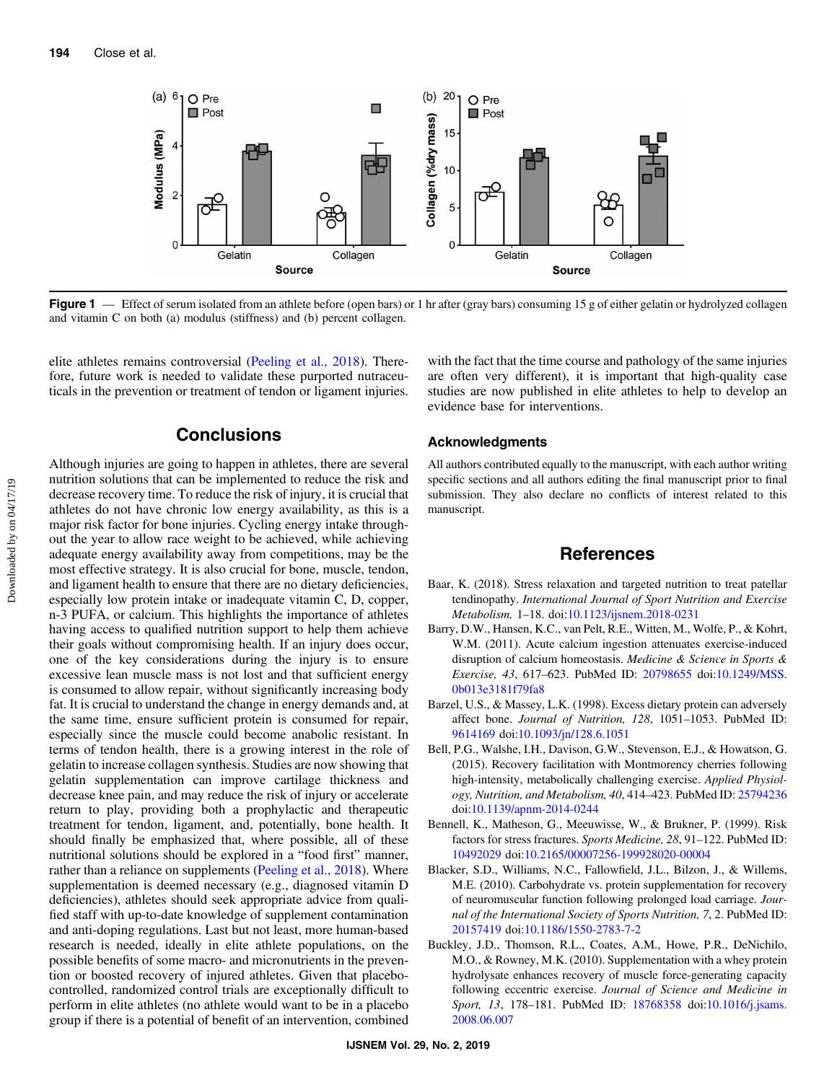<span id="page-5-0"></span>

Figure 1 — Effect of serum isolated from an athlete before (open bars) or 1 hr after (gray bars) consuming 15 g of either gelatin or hydrolyzed collagen and vitamin C on both (a) modulus (stiffness) and (b) percent collagen.

elite athletes remains controversial ([Peeling et al., 2018](#page-7-0)). Therefore, future work is needed to validate these purported nutraceuticals in the prevention or treatment of tendon or ligament injuries.

## **Conclusions**

Although injuries are going to happen in athletes, there are several nutrition solutions that can be implemented to reduce the risk and decrease recovery time. To reduce the risk of injury, it is crucial that athletes do not have chronic low energy availability, as this is a major risk factor for bone injuries. Cycling energy intake throughout the year to allow race weight to be achieved, while achieving adequate energy availability away from competitions, may be the most effective strategy. It is also crucial for bone, muscle, tendon, and ligament health to ensure that there are no dietary deficiencies, especially low protein intake or inadequate vitamin C, D, copper, n-3 PUFA, or calcium. This highlights the importance of athletes having access to qualified nutrition support to help them achieve their goals without compromising health. If an injury does occur, one of the key considerations during the injury is to ensure excessive lean muscle mass is not lost and that sufficient energy is consumed to allow repair, without significantly increasing body fat. It is crucial to understand the change in energy demands and, at the same time, ensure sufficient protein is consumed for repair, especially since the muscle could become anabolic resistant. In terms of tendon health, there is a growing interest in the role of gelatin to increase collagen synthesis. Studies are now showing that gelatin supplementation can improve cartilage thickness and decrease knee pain, and may reduce the risk of injury or accelerate return to play, providing both a prophylactic and therapeutic treatment for tendon, ligament, and, potentially, bone health. It should finally be emphasized that, where possible, all of these nutritional solutions should be explored in a "food first" manner, rather than a reliance on supplements ([Peeling et al., 2018\)](#page-7-0). Where supplementation is deemed necessary (e.g., diagnosed vitamin D deficiencies), athletes should seek appropriate advice from qualified staff with up-to-date knowledge of supplement contamination and anti-doping regulations. Last but not least, more human-based research is needed, ideally in elite athlete populations, on the possible benefits of some macro- and micronutrients in the prevention or boosted recovery of injured athletes. Given that placebocontrolled, randomized control trials are exceptionally difficult to perform in elite athletes (no athlete would want to be in a placebo group if there is a potential of benefit of an intervention, combined

with the fact that the time course and pathology of the same injuries are often very different), it is important that high-quality case studies are now published in elite athletes to help to develop an evidence base for interventions.

#### Acknowledgments

All authors contributed equally to the manuscript, with each author writing specific sections and all authors editing the final manuscript prior to final submission. They also declare no conflicts of interest related to this manuscript.

#### References

- Baar, K. (2018). Stress relaxation and targeted nutrition to treat patellar tendinopathy. International Journal of Sport Nutrition and Exercise Metabolism, 1–18. doi[:10.1123/ijsnem.2018-0231](https://doi.org/10.1123/ijsnem.2018-0231)
- Barry, D.W., Hansen, K.C., van Pelt, R.E., Witten, M., Wolfe, P., & Kohrt, W.M. (2011). Acute calcium ingestion attenuates exercise-induced disruption of calcium homeostasis. Medicine & Science in Sports & Exercise, 43, 617–623. PubMed ID: [20798655](http://www.ncbi.nlm.nih.gov/pubmed/20798655?dopt=Abstract) doi[:10.1249/MSS.](https://doi.org/10.1249/MSS.0b013e3181f79fa8) [0b013e3181f79fa8](https://doi.org/10.1249/MSS.0b013e3181f79fa8)
- Barzel, U.S., & Massey, L.K. (1998). Excess dietary protein can adversely affect bone. Journal of Nutrition, 128, 1051–1053. PubMed ID: [9614169](http://www.ncbi.nlm.nih.gov/pubmed/9614169?dopt=Abstract) doi[:10.1093/jn/128.6.1051](https://doi.org/10.1093/jn/128.6.1051)
- Bell, P.G., Walshe, I.H., Davison, G.W., Stevenson, E.J., & Howatson, G. (2015). Recovery facilitation with Montmorency cherries following high-intensity, metabolically challenging exercise. Applied Physiology, Nutrition, and Metabolism, 40, 414–423. PubMed ID: [25794236](http://www.ncbi.nlm.nih.gov/pubmed/25794236?dopt=Abstract) doi:[10.1139/apnm-2014-0244](https://doi.org/10.1139/apnm-2014-0244)
- Bennell, K., Matheson, G., Meeuwisse, W., & Brukner, P. (1999). Risk factors for stress fractures. Sports Medicine, 28, 91–122. PubMed ID: [10492029](http://www.ncbi.nlm.nih.gov/pubmed/10492029?dopt=Abstract) doi:[10.2165/00007256-199928020-00004](https://doi.org/10.2165/00007256-199928020-00004)
- Blacker, S.D., Williams, N.C., Fallowfield, J.L., Bilzon, J., & Willems, M.E. (2010). Carbohydrate vs. protein supplementation for recovery of neuromuscular function following prolonged load carriage. Journal of the International Society of Sports Nutrition, 7, 2. PubMed ID: [20157419](http://www.ncbi.nlm.nih.gov/pubmed/20157419?dopt=Abstract) doi:[10.1186/1550-2783-7-2](https://doi.org/10.1186/1550-2783-7-2)
- Buckley, J.D., Thomson, R.L., Coates, A.M., Howe, P.R., DeNichilo, M.O., & Rowney, M.K. (2010). Supplementation with a whey protein hydrolysate enhances recovery of muscle force-generating capacity following eccentric exercise. Journal of Science and Medicine in Sport, 13, 178-181. PubMed ID: [18768358](http://www.ncbi.nlm.nih.gov/pubmed/18768358?dopt=Abstract) doi[:10.1016/j.jsams.](https://doi.org/10.1016/j.jsams.2008.06.007) [2008.06.007](https://doi.org/10.1016/j.jsams.2008.06.007)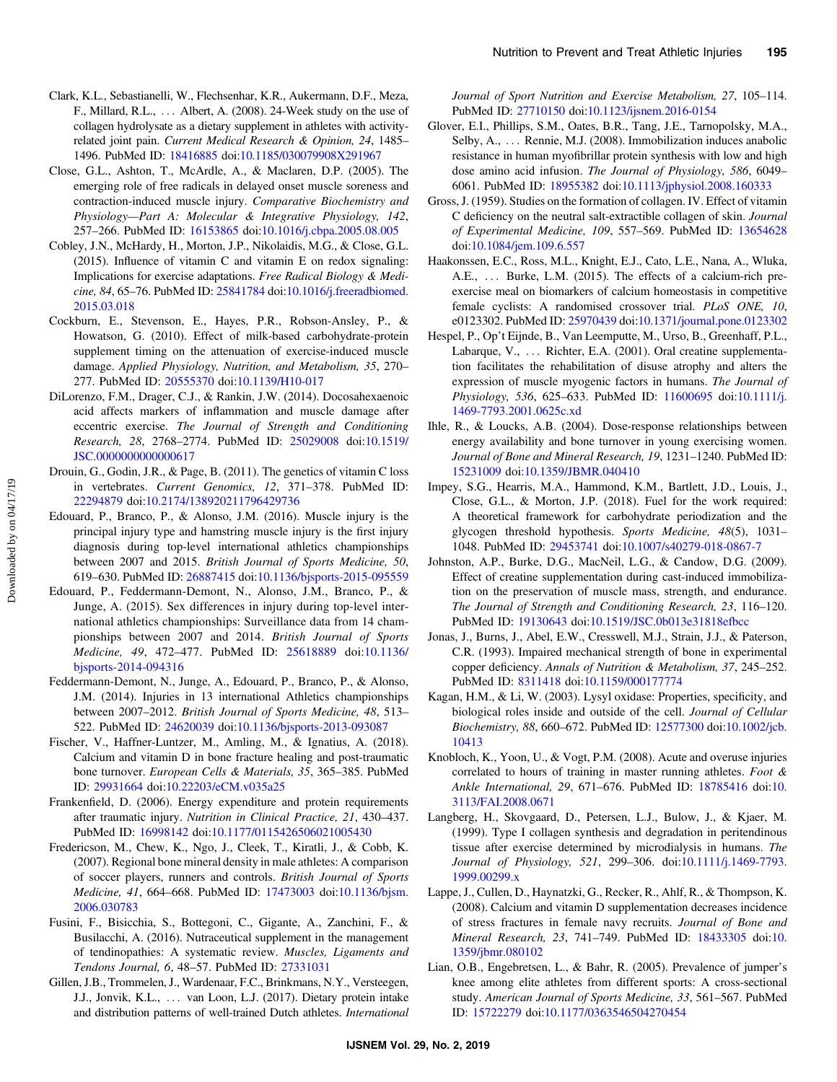- <span id="page-6-0"></span>Clark, K.L., Sebastianelli, W., Flechsenhar, K.R., Aukermann, D.F., Meza, F., Millard, R.L., ::: Albert, A. (2008). 24-Week study on the use of collagen hydrolysate as a dietary supplement in athletes with activityrelated joint pain. Current Medical Research & Opinion, 24, 1485– 1496. PubMed ID: [18416885](http://www.ncbi.nlm.nih.gov/pubmed/18416885?dopt=Abstract) doi:[10.1185/030079908X291967](https://doi.org/10.1185/030079908X291967)
- Close, G.L., Ashton, T., McArdle, A., & Maclaren, D.P. (2005). The emerging role of free radicals in delayed onset muscle soreness and contraction-induced muscle injury. Comparative Biochemistry and Physiology—Part A: Molecular & Integrative Physiology, 142, 257–266. PubMed ID: [16153865](http://www.ncbi.nlm.nih.gov/pubmed/16153865?dopt=Abstract) doi:[10.1016/j.cbpa.2005.08.005](https://doi.org/10.1016/j.cbpa.2005.08.005)
- Cobley, J.N., McHardy, H., Morton, J.P., Nikolaidis, M.G., & Close, G.L. (2015). Influence of vitamin C and vitamin E on redox signaling: Implications for exercise adaptations. Free Radical Biology & Medicine, 84, 65–76. PubMed ID: [25841784](http://www.ncbi.nlm.nih.gov/pubmed/25841784?dopt=Abstract) doi:[10.1016/j.freeradbiomed.](https://doi.org/10.1016/j.freeradbiomed.2015.03.018) [2015.03.018](https://doi.org/10.1016/j.freeradbiomed.2015.03.018)
- Cockburn, E., Stevenson, E., Hayes, P.R., Robson-Ansley, P., & Howatson, G. (2010). Effect of milk-based carbohydrate-protein supplement timing on the attenuation of exercise-induced muscle damage. Applied Physiology, Nutrition, and Metabolism, 35, 270– 277. PubMed ID: [20555370](http://www.ncbi.nlm.nih.gov/pubmed/20555370?dopt=Abstract) doi:[10.1139/H10-017](https://doi.org/10.1139/H10-017)
- DiLorenzo, F.M., Drager, C.J., & Rankin, J.W. (2014). Docosahexaenoic acid affects markers of inflammation and muscle damage after eccentric exercise. The Journal of Strength and Conditioning Research, 28, 2768–2774. PubMed ID: [25029008](http://www.ncbi.nlm.nih.gov/pubmed/25029008?dopt=Abstract) doi[:10.1519/](https://doi.org/10.1519/JSC.0000000000000617) [JSC.0000000000000617](https://doi.org/10.1519/JSC.0000000000000617)
- Drouin, G., Godin, J.R., & Page, B. (2011). The genetics of vitamin C loss in vertebrates. Current Genomics, 12, 371–378. PubMed ID: [22294879](http://www.ncbi.nlm.nih.gov/pubmed/22294879?dopt=Abstract) doi:[10.2174/138920211796429736](https://doi.org/10.2174/138920211796429736)
- Edouard, P., Branco, P., & Alonso, J.M. (2016). Muscle injury is the principal injury type and hamstring muscle injury is the first injury diagnosis during top-level international athletics championships between 2007 and 2015. British Journal of Sports Medicine, 50, 619–630. PubMed ID: [26887415](http://www.ncbi.nlm.nih.gov/pubmed/26887415?dopt=Abstract) doi[:10.1136/bjsports-2015-095559](https://doi.org/10.1136/bjsports-2015-095559)
- Edouard, P., Feddermann-Demont, N., Alonso, J.M., Branco, P., & Junge, A. (2015). Sex differences in injury during top-level international athletics championships: Surveillance data from 14 championships between 2007 and 2014. British Journal of Sports Medicine, 49, 472–477. PubMed ID: [25618889](http://www.ncbi.nlm.nih.gov/pubmed/25618889?dopt=Abstract) doi:[10.1136/](https://doi.org/10.1136/bjsports-2014-094316) [bjsports-2014-094316](https://doi.org/10.1136/bjsports-2014-094316)
- Feddermann-Demont, N., Junge, A., Edouard, P., Branco, P., & Alonso, J.M. (2014). Injuries in 13 international Athletics championships between 2007–2012. British Journal of Sports Medicine, 48, 513– 522. PubMed ID: [24620039](http://www.ncbi.nlm.nih.gov/pubmed/24620039?dopt=Abstract) doi:[10.1136/bjsports-2013-093087](https://doi.org/10.1136/bjsports-2013-093087)
- Fischer, V., Haffner-Luntzer, M., Amling, M., & Ignatius, A. (2018). Calcium and vitamin D in bone fracture healing and post-traumatic bone turnover. European Cells & Materials, 35, 365–385. PubMed ID: [29931664](http://www.ncbi.nlm.nih.gov/pubmed/29931664?dopt=Abstract) doi[:10.22203/eCM.v035a25](https://doi.org/10.22203/eCM.v035a25)
- Frankenfield, D. (2006). Energy expenditure and protein requirements after traumatic injury. Nutrition in Clinical Practice, 21, 430–437. PubMed ID: [16998142](http://www.ncbi.nlm.nih.gov/pubmed/16998142?dopt=Abstract) doi:[10.1177/0115426506021005430](https://doi.org/10.1177/0115426506021005430)
- Fredericson, M., Chew, K., Ngo, J., Cleek, T., Kiratli, J., & Cobb, K. (2007). Regional bone mineral density in male athletes: A comparison of soccer players, runners and controls. British Journal of Sports Medicine, 41, 664–668. PubMed ID: [17473003](http://www.ncbi.nlm.nih.gov/pubmed/17473003?dopt=Abstract) doi:[10.1136/bjsm.](https://doi.org/10.1136/bjsm.2006.030783) [2006.030783](https://doi.org/10.1136/bjsm.2006.030783)
- Fusini, F., Bisicchia, S., Bottegoni, C., Gigante, A., Zanchini, F., & Busilacchi, A. (2016). Nutraceutical supplement in the management of tendinopathies: A systematic review. Muscles, Ligaments and Tendons Journal, 6, 48–57. PubMed ID: [27331031](http://www.ncbi.nlm.nih.gov/pubmed/27331031?dopt=Abstract)
- Gillen, J.B., Trommelen, J., Wardenaar, F.C., Brinkmans, N.Y., Versteegen, J.J., Jonvik, K.L., ... van Loon, L.J. (2017). Dietary protein intake and distribution patterns of well-trained Dutch athletes. International

Journal of Sport Nutrition and Exercise Metabolism, 27, 105–114. PubMed ID: [27710150](http://www.ncbi.nlm.nih.gov/pubmed/27710150?dopt=Abstract) doi[:10.1123/ijsnem.2016-0154](https://doi.org/10.1123/ijsnem.2016-0154)

- Glover, E.I., Phillips, S.M., Oates, B.R., Tang, J.E., Tarnopolsky, M.A., Selby, A., ... Rennie, M.J. (2008). Immobilization induces anabolic resistance in human myofibrillar protein synthesis with low and high dose amino acid infusion. The Journal of Physiology, 586, 6049– 6061. PubMed ID: [18955382](http://www.ncbi.nlm.nih.gov/pubmed/18955382?dopt=Abstract) doi[:10.1113/jphysiol.2008.160333](https://doi.org/10.1113/jphysiol.2008.160333)
- Gross, J. (1959). Studies on the formation of collagen. IV. Effect of vitamin C deficiency on the neutral salt-extractible collagen of skin. Journal of Experimental Medicine, 109, 557–569. PubMed ID: [13654628](http://www.ncbi.nlm.nih.gov/pubmed/13654628?dopt=Abstract) doi:[10.1084/jem.109.6.557](https://doi.org/10.1084/jem.109.6.557)
- Haakonssen, E.C., Ross, M.L., Knight, E.J., Cato, L.E., Nana, A., Wluka, A.E., ... Burke, L.M. (2015). The effects of a calcium-rich preexercise meal on biomarkers of calcium homeostasis in competitive female cyclists: A randomised crossover trial. PLoS ONE, 10, e0123302. PubMed ID: [25970439](http://www.ncbi.nlm.nih.gov/pubmed/25970439?dopt=Abstract) doi[:10.1371/journal.pone.0123302](https://doi.org/10.1371/journal.pone.0123302)
- Hespel, P., Op't Eijnde, B., Van Leemputte, M., Urso, B., Greenhaff, P.L., Labarque, V., ... Richter, E.A. (2001). Oral creatine supplementation facilitates the rehabilitation of disuse atrophy and alters the expression of muscle myogenic factors in humans. The Journal of Physiology, 536, 625–633. PubMed ID: [11600695](http://www.ncbi.nlm.nih.gov/pubmed/11600695?dopt=Abstract) doi:[10.1111/j.](https://doi.org/10.1111/j.1469-7793.2001.0625c.xd) [1469-7793.2001.0625c.xd](https://doi.org/10.1111/j.1469-7793.2001.0625c.xd)
- Ihle, R., & Loucks, A.B. (2004). Dose-response relationships between energy availability and bone turnover in young exercising women. Journal of Bone and Mineral Research, 19, 1231–1240. PubMed ID: [15231009](http://www.ncbi.nlm.nih.gov/pubmed/15231009?dopt=Abstract) doi:[10.1359/JBMR.040410](https://doi.org/10.1359/JBMR.040410)
- Impey, S.G., Hearris, M.A., Hammond, K.M., Bartlett, J.D., Louis, J., Close, G.L., & Morton, J.P. (2018). Fuel for the work required: A theoretical framework for carbohydrate periodization and the glycogen threshold hypothesis. Sports Medicine, 48(5), 1031– 1048. PubMed ID: [29453741](http://www.ncbi.nlm.nih.gov/pubmed/29453741?dopt=Abstract) doi[:10.1007/s40279-018-0867-7](https://doi.org/10.1007/s40279-018-0867-7)
- Johnston, A.P., Burke, D.G., MacNeil, L.G., & Candow, D.G. (2009). Effect of creatine supplementation during cast-induced immobilization on the preservation of muscle mass, strength, and endurance. The Journal of Strength and Conditioning Research, 23, 116–120. PubMed ID: [19130643](http://www.ncbi.nlm.nih.gov/pubmed/19130643?dopt=Abstract) doi:[10.1519/JSC.0b013e31818efbcc](https://doi.org/10.1519/JSC.0b013e31818efbcc)
- Jonas, J., Burns, J., Abel, E.W., Cresswell, M.J., Strain, J.J., & Paterson, C.R. (1993). Impaired mechanical strength of bone in experimental copper deficiency. Annals of Nutrition & Metabolism, 37, 245–252. PubMed ID: [8311418](http://www.ncbi.nlm.nih.gov/pubmed/8311418?dopt=Abstract) doi[:10.1159/000177774](https://doi.org/10.1159/000177774)
- Kagan, H.M., & Li, W. (2003). Lysyl oxidase: Properties, specificity, and biological roles inside and outside of the cell. Journal of Cellular Biochemistry, 88, 660–672. PubMed ID: [12577300](http://www.ncbi.nlm.nih.gov/pubmed/12577300?dopt=Abstract) doi[:10.1002/jcb.](https://doi.org/10.1002/jcb.10413) [10413](https://doi.org/10.1002/jcb.10413)
- Knobloch, K., Yoon, U., & Vogt, P.M. (2008). Acute and overuse injuries correlated to hours of training in master running athletes. Foot & Ankle International, 29, 671–676. PubMed ID: [18785416](http://www.ncbi.nlm.nih.gov/pubmed/18785416?dopt=Abstract) doi:[10.](https://doi.org/10.3113/FAI.2008.0671) [3113/FAI.2008.0671](https://doi.org/10.3113/FAI.2008.0671)
- Langberg, H., Skovgaard, D., Petersen, L.J., Bulow, J., & Kjaer, M. (1999). Type I collagen synthesis and degradation in peritendinous tissue after exercise determined by microdialysis in humans. The Journal of Physiology, 521, 299–306. doi:[10.1111/j.1469-7793.](https://doi.org/10.1111/j.1469-7793.1999.00299.x) [1999.00299.x](https://doi.org/10.1111/j.1469-7793.1999.00299.x)
- Lappe, J., Cullen, D., Haynatzki, G., Recker, R., Ahlf, R., & Thompson, K. (2008). Calcium and vitamin D supplementation decreases incidence of stress fractures in female navy recruits. Journal of Bone and Mineral Research, 23, 741–749. PubMed ID: [18433305](http://www.ncbi.nlm.nih.gov/pubmed/18433305?dopt=Abstract) doi:[10.](https://doi.org/10.1359/jbmr.080102) [1359/jbmr.080102](https://doi.org/10.1359/jbmr.080102)
- Lian, O.B., Engebretsen, L., & Bahr, R. (2005). Prevalence of jumper's knee among elite athletes from different sports: A cross-sectional study. American Journal of Sports Medicine, 33, 561–567. PubMed ID: [15722279](http://www.ncbi.nlm.nih.gov/pubmed/15722279?dopt=Abstract) doi[:10.1177/0363546504270454](https://doi.org/10.1177/0363546504270454)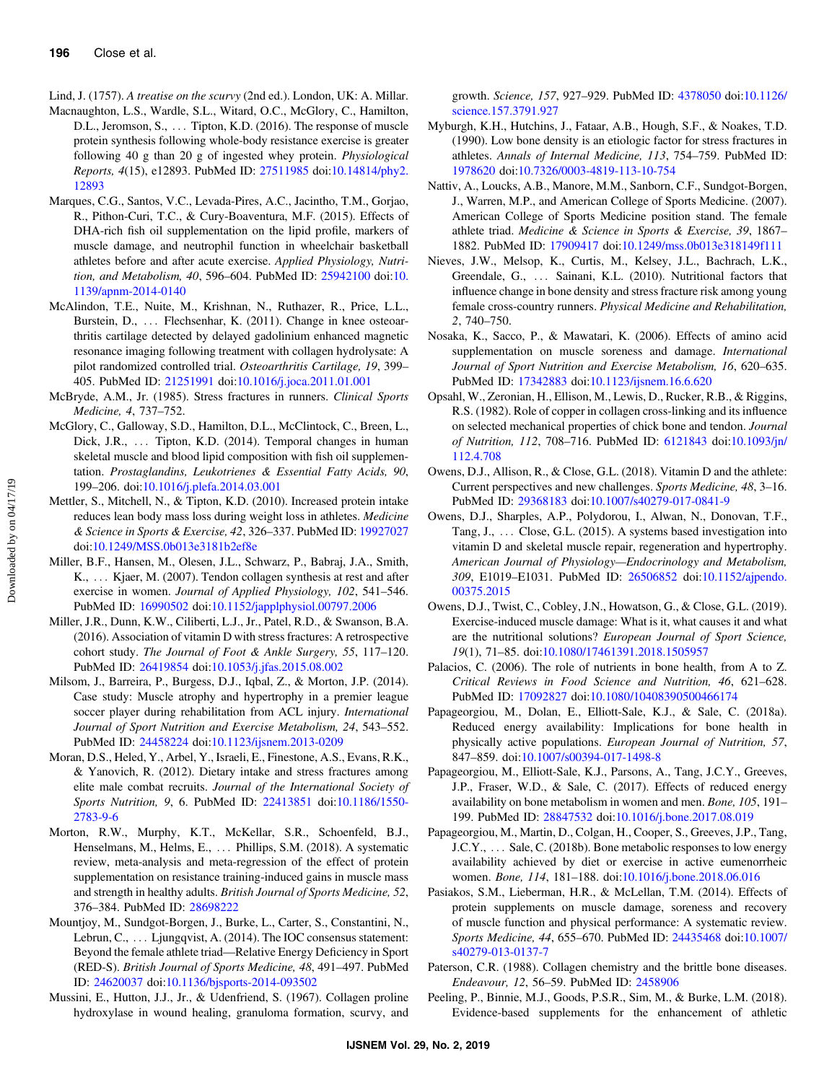- <span id="page-7-0"></span>Lind, J. (1757). A treatise on the scurvy (2nd ed.). London, UK: A. Millar.
- Macnaughton, L.S., Wardle, S.L., Witard, O.C., McGlory, C., Hamilton, D.L., Jeromson, S., ... Tipton, K.D. (2016). The response of muscle protein synthesis following whole-body resistance exercise is greater following 40 g than 20 g of ingested whey protein. Physiological Reports, 4(15), e12893. PubMed ID: [27511985](http://www.ncbi.nlm.nih.gov/pubmed/27511985?dopt=Abstract) doi:[10.14814/phy2.](https://doi.org/10.14814/phy2.12893) [12893](https://doi.org/10.14814/phy2.12893)
- Marques, C.G., Santos, V.C., Levada-Pires, A.C., Jacintho, T.M., Gorjao, R., Pithon-Curi, T.C., & Cury-Boaventura, M.F. (2015). Effects of DHA-rich fish oil supplementation on the lipid profile, markers of muscle damage, and neutrophil function in wheelchair basketball athletes before and after acute exercise. Applied Physiology, Nutrition, and Metabolism, 40, 596–604. PubMed ID: [25942100](http://www.ncbi.nlm.nih.gov/pubmed/25942100?dopt=Abstract) doi:[10.](https://doi.org/10.1139/apnm-2014-0140) [1139/apnm-2014-0140](https://doi.org/10.1139/apnm-2014-0140)
- McAlindon, T.E., Nuite, M., Krishnan, N., Ruthazer, R., Price, L.L., Burstein, D., ... Flechsenhar, K. (2011). Change in knee osteoarthritis cartilage detected by delayed gadolinium enhanced magnetic resonance imaging following treatment with collagen hydrolysate: A pilot randomized controlled trial. Osteoarthritis Cartilage, 19, 399– 405. PubMed ID: [21251991](http://www.ncbi.nlm.nih.gov/pubmed/21251991?dopt=Abstract) doi:[10.1016/j.joca.2011.01.001](https://doi.org/10.1016/j.joca.2011.01.001)
- McBryde, A.M., Jr. (1985). Stress fractures in runners. Clinical Sports Medicine, 4, 737–752.
- McGlory, C., Galloway, S.D., Hamilton, D.L., McClintock, C., Breen, L., Dick, J.R., ... Tipton, K.D. (2014). Temporal changes in human skeletal muscle and blood lipid composition with fish oil supplementation. Prostaglandins, Leukotrienes & Essential Fatty Acids, 90, 199–206. doi[:10.1016/j.plefa.2014.03.001](https://doi.org/10.1016/j.plefa.2014.03.001)
- Mettler, S., Mitchell, N., & Tipton, K.D. (2010). Increased protein intake reduces lean body mass loss during weight loss in athletes. Medicine & Science in Sports & Exercise, 42, 326–337. PubMed ID: [19927027](http://www.ncbi.nlm.nih.gov/pubmed/19927027?dopt=Abstract) doi:[10.1249/MSS.0b013e3181b2ef8e](https://doi.org/10.1249/MSS.0b013e3181b2ef8e)
- Miller, B.F., Hansen, M., Olesen, J.L., Schwarz, P., Babraj, J.A., Smith, K., ... Kjaer, M. (2007). Tendon collagen synthesis at rest and after exercise in women. Journal of Applied Physiology, 102, 541–546. PubMed ID: [16990502](http://www.ncbi.nlm.nih.gov/pubmed/16990502?dopt=Abstract) doi:[10.1152/japplphysiol.00797.2006](https://doi.org/10.1152/japplphysiol.00797.2006)
- Miller, J.R., Dunn, K.W., Ciliberti, L.J., Jr., Patel, R.D., & Swanson, B.A. (2016). Association of vitamin D with stress fractures: A retrospective cohort study. The Journal of Foot & Ankle Surgery, 55, 117–120. PubMed ID: [26419854](http://www.ncbi.nlm.nih.gov/pubmed/26419854?dopt=Abstract) doi:[10.1053/j.jfas.2015.08.002](https://doi.org/10.1053/j.jfas.2015.08.002)
- Milsom, J., Barreira, P., Burgess, D.J., Iqbal, Z., & Morton, J.P. (2014). Case study: Muscle atrophy and hypertrophy in a premier league soccer player during rehabilitation from ACL injury. International Journal of Sport Nutrition and Exercise Metabolism, 24, 543–552. PubMed ID: [24458224](http://www.ncbi.nlm.nih.gov/pubmed/24458224?dopt=Abstract) doi:[10.1123/ijsnem.2013-0209](https://doi.org/10.1123/ijsnem.2013-0209)
- Moran, D.S., Heled, Y., Arbel, Y., Israeli, E., Finestone, A.S., Evans, R.K., & Yanovich, R. (2012). Dietary intake and stress fractures among elite male combat recruits. Journal of the International Society of Sports Nutrition, 9, 6. PubMed ID: [22413851](http://www.ncbi.nlm.nih.gov/pubmed/22413851?dopt=Abstract) doi[:10.1186/1550-](https://doi.org/10.1186/1550-2783-9-6) [2783-9-6](https://doi.org/10.1186/1550-2783-9-6)
- Morton, R.W., Murphy, K.T., McKellar, S.R., Schoenfeld, B.J., Henselmans, M., Helms, E., ::: Phillips, S.M. (2018). A systematic review, meta-analysis and meta-regression of the effect of protein supplementation on resistance training-induced gains in muscle mass and strength in healthy adults. British Journal of Sports Medicine, 52, 376–384. PubMed ID: [28698222](http://www.ncbi.nlm.nih.gov/pubmed/28698222?dopt=Abstract)
- Mountjoy, M., Sundgot-Borgen, J., Burke, L., Carter, S., Constantini, N., Lebrun, C.,  $\dots$  Ljungqvist, A. (2014). The IOC consensus statement: Beyond the female athlete triad—Relative Energy Deficiency in Sport (RED-S). British Journal of Sports Medicine, 48, 491–497. PubMed ID: [24620037](http://www.ncbi.nlm.nih.gov/pubmed/24620037?dopt=Abstract) doi[:10.1136/bjsports-2014-093502](https://doi.org/10.1136/bjsports-2014-093502)
- Mussini, E., Hutton, J.J., Jr., & Udenfriend, S. (1967). Collagen proline hydroxylase in wound healing, granuloma formation, scurvy, and

growth. Science, 157, 927–929. PubMed ID: [4378050](http://www.ncbi.nlm.nih.gov/pubmed/4378050?dopt=Abstract) doi[:10.1126/](https://doi.org/10.1126/science.157.3791.927) [science.157.3791.927](https://doi.org/10.1126/science.157.3791.927)

- Myburgh, K.H., Hutchins, J., Fataar, A.B., Hough, S.F., & Noakes, T.D. (1990). Low bone density is an etiologic factor for stress fractures in athletes. Annals of Internal Medicine, 113, 754–759. PubMed ID: [1978620](http://www.ncbi.nlm.nih.gov/pubmed/1978620?dopt=Abstract) doi[:10.7326/0003-4819-113-10-754](https://doi.org/10.7326/0003-4819-113-10-754)
- Nattiv, A., Loucks, A.B., Manore, M.M., Sanborn, C.F., Sundgot-Borgen, J., Warren, M.P., and American College of Sports Medicine. (2007). American College of Sports Medicine position stand. The female athlete triad. Medicine & Science in Sports & Exercise, 39, 1867– 1882. PubMed ID: [17909417](http://www.ncbi.nlm.nih.gov/pubmed/17909417?dopt=Abstract) doi[:10.1249/mss.0b013e318149f111](https://doi.org/10.1249/mss.0b013e318149f111)
- Nieves, J.W., Melsop, K., Curtis, M., Kelsey, J.L., Bachrach, L.K., Greendale, G., ::: Sainani, K.L. (2010). Nutritional factors that influence change in bone density and stress fracture risk among young female cross-country runners. Physical Medicine and Rehabilitation, 2, 740–750.
- Nosaka, K., Sacco, P., & Mawatari, K. (2006). Effects of amino acid supplementation on muscle soreness and damage. International Journal of Sport Nutrition and Exercise Metabolism, 16, 620–635. PubMed ID: [17342883](http://www.ncbi.nlm.nih.gov/pubmed/17342883?dopt=Abstract) doi:[10.1123/ijsnem.16.6.620](https://doi.org/10.1123/ijsnem.16.6.620)
- Opsahl, W., Zeronian, H., Ellison, M., Lewis, D., Rucker, R.B., & Riggins, R.S. (1982). Role of copper in collagen cross-linking and its influence on selected mechanical properties of chick bone and tendon. Journal of Nutrition, 112, 708–716. PubMed ID: [6121843](http://www.ncbi.nlm.nih.gov/pubmed/6121843?dopt=Abstract) doi:[10.1093/jn/](https://doi.org/10.1093/jn/112.4.708) [112.4.708](https://doi.org/10.1093/jn/112.4.708)
- Owens, D.J., Allison, R., & Close, G.L. (2018). Vitamin D and the athlete: Current perspectives and new challenges. Sports Medicine, 48, 3–16. PubMed ID: [29368183](http://www.ncbi.nlm.nih.gov/pubmed/29368183?dopt=Abstract) doi:[10.1007/s40279-017-0841-9](https://doi.org/10.1007/s40279-017-0841-9)
- Owens, D.J., Sharples, A.P., Polydorou, I., Alwan, N., Donovan, T.F., Tang, J., ... Close, G.L. (2015). A systems based investigation into vitamin D and skeletal muscle repair, regeneration and hypertrophy. American Journal of Physiology—Endocrinology and Metabolism, 309, E1019–E1031. PubMed ID: [26506852](http://www.ncbi.nlm.nih.gov/pubmed/26506852?dopt=Abstract) doi:[10.1152/ajpendo.](https://doi.org/10.1152/ajpendo.00375.2015) [00375.2015](https://doi.org/10.1152/ajpendo.00375.2015)
- Owens, D.J., Twist, C., Cobley, J.N., Howatson, G., & Close, G.L. (2019). Exercise-induced muscle damage: What is it, what causes it and what are the nutritional solutions? European Journal of Sport Science, 19(1), 71–85. doi:[10.1080/17461391.2018.1505957](https://doi.org/10.1080/17461391.2018.1505957)
- Palacios, C. (2006). The role of nutrients in bone health, from A to Z. Critical Reviews in Food Science and Nutrition, 46, 621–628. PubMed ID: [17092827](http://www.ncbi.nlm.nih.gov/pubmed/17092827?dopt=Abstract) doi:[10.1080/10408390500466174](https://doi.org/10.1080/10408390500466174)
- Papageorgiou, M., Dolan, E., Elliott-Sale, K.J., & Sale, C. (2018a). Reduced energy availability: Implications for bone health in physically active populations. European Journal of Nutrition, 57, 847–859. doi[:10.1007/s00394-017-1498-8](https://doi.org/10.1007/s00394-017-1498-8)
- Papageorgiou, M., Elliott-Sale, K.J., Parsons, A., Tang, J.C.Y., Greeves, J.P., Fraser, W.D., & Sale, C. (2017). Effects of reduced energy availability on bone metabolism in women and men. Bone, 105, 191– 199. PubMed ID: [28847532](http://www.ncbi.nlm.nih.gov/pubmed/28847532?dopt=Abstract) doi:[10.1016/j.bone.2017.08.019](https://doi.org/10.1016/j.bone.2017.08.019)
- Papageorgiou, M., Martin, D., Colgan, H., Cooper, S., Greeves, J.P., Tang, J.C.Y., ... Sale, C. (2018b). Bone metabolic responses to low energy availability achieved by diet or exercise in active eumenorrheic women. Bone, 114, 181–188. doi[:10.1016/j.bone.2018.06.016](https://doi.org/10.1016/j.bone.2018.06.016)
- Pasiakos, S.M., Lieberman, H.R., & McLellan, T.M. (2014). Effects of protein supplements on muscle damage, soreness and recovery of muscle function and physical performance: A systematic review. Sports Medicine, 44, 655–670. PubMed ID: [24435468](http://www.ncbi.nlm.nih.gov/pubmed/24435468?dopt=Abstract) doi[:10.1007/](https://doi.org/10.1007/s40279-013-0137-7) [s40279-013-0137-7](https://doi.org/10.1007/s40279-013-0137-7)
- Paterson, C.R. (1988). Collagen chemistry and the brittle bone diseases. Endeavour, 12, 56–59. PubMed ID: [2458906](http://www.ncbi.nlm.nih.gov/pubmed/2458906?dopt=Abstract)
- Peeling, P., Binnie, M.J., Goods, P.S.R., Sim, M., & Burke, L.M. (2018). Evidence-based supplements for the enhancement of athletic